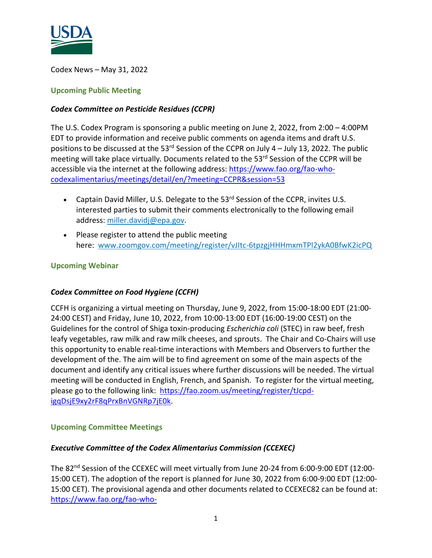

Codex News – May 31, 2022

### **Upcoming Public Meeting**

### *Codex Committee on Pesticide Residues (CCPR)*

The U.S. Codex Program is sponsoring a public meeting on June 2, 2022, from 2:00 – 4:00PM EDT to provide information and receive public comments on agenda items and draft U.S. positions to be discussed at the 53 $^{rd}$  Session of the CCPR on July 4 – July 13, 2022. The public meeting will take place virtually. Documents related to the 53rd Session of the CCPR will be accessible via the internet at the following address: [https://www.fao.org/fao-who](https://www.fao.org/fao-who-codexalimentarius/meetings/detail/en/?meeting=CCPR&session=53)[codexalimentarius/meetings/detail/en/?meeting=CCPR&session=53](https://www.fao.org/fao-who-codexalimentarius/meetings/detail/en/?meeting=CCPR&session=53) 

- Captain David Miller, U.S. Delegate to the 53<sup>rd</sup> Session of the CCPR, invites U.S. interested parties to submit their comments electronically to the following email address: [miller.davidj@epa.gov.](mailto:miller.davidj@epa.gov)
- Please register to attend the public meeting here: [www.zoomgov.com/meeting/register/vJItc-6tpzgjHHHmxmTPl2ykA0BfwK2icPQ](https://www.zoomgov.com/meeting/register/vJItc-6tpzgjHHHmxmTPl2ykA0BfwK2icPQ)

### **Upcoming Webinar**

### *Codex Committee on Food Hygiene (CCFH)*

CCFH is organizing a virtual meeting on Thursday, June 9, 2022, from 15:00-18:00 EDT (21:00- 24:00 CEST) and Friday, June 10, 2022, from 10:00-13:00 EDT (16:00-19:00 CEST) on the Guidelines for the control of Shiga toxin-producing *Escherichia coli* (STEC) in raw beef, fresh leafy vegetables, raw milk and raw milk cheeses, and sprouts. The Chair and Co-Chairs will use this opportunity to enable real-time interactions with Members and Observers to further the development of the. The aim will be to find agreement on some of the main aspects of the document and identify any critical issues where further discussions will be needed. The virtual meeting will be conducted in English, French, and Spanish. To register for the virtual meeting, please go to the following link: [https://fao.zoom.us/meeting/register/tJcpd](https://fao.zoom.us/meeting/register/tJcpd-igqDsjE9xy2rF8qPrxBnVGNRp7jE0k)[igqDsjE9xy2rF8qPrxBnVGNRp7jE0k.](https://fao.zoom.us/meeting/register/tJcpd-igqDsjE9xy2rF8qPrxBnVGNRp7jE0k)

### **Upcoming Committee Meetings**

### *Executive Committee of the Codex Alimentarius Commission (CCEXEC)*

The 82<sup>nd</sup> Session of the CCEXEC will meet virtually from June 20-24 from 6:00-9:00 EDT (12:00-15:00 CET). The adoption of the report is planned for June 30, 2022 from 6:00-9:00 EDT (12:00- 15:00 CET). The provisional agenda and other documents related to CCEXEC82 can be found at: [https://www.fao.org/fao-who-](https://www.fao.org/fao-who-codexalimentarius/meetings/detail/en/?meeting=CCEXEC&session=82)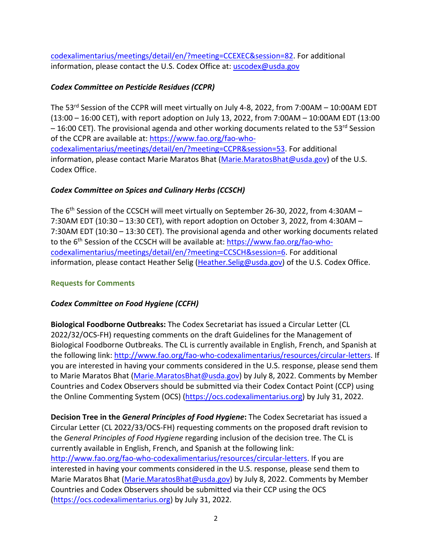[codexalimentarius/meetings/detail/en/?meeting=CCEXEC&session=82.](https://www.fao.org/fao-who-codexalimentarius/meetings/detail/en/?meeting=CCEXEC&session=82) For additional information, please contact the U.S. Codex Office at: [uscodex@usda.gov](mailto:uscodex@usda.gov)

## *Codex Committee on Pesticide Residues (CCPR)*

The 53<sup>rd</sup> Session of the CCPR will meet virtually on July 4-8, 2022, from 7:00AM – 10:00AM EDT (13:00 – 16:00 CET), with report adoption on July 13, 2022, from 7:00AM – 10:00AM EDT (13:00  $-16:00$  CET). The provisional agenda and other working documents related to the 53<sup>rd</sup> Session of the CCPR are available at: [https://www.fao.org/fao-who](https://www.fao.org/fao-who-codexalimentarius/meetings/detail/en/?meeting=CCPR&session=53)[codexalimentarius/meetings/detail/en/?meeting=CCPR&session=53.](https://www.fao.org/fao-who-codexalimentarius/meetings/detail/en/?meeting=CCPR&session=53) For additional information, please contact Marie Maratos Bhat [\(Marie.MaratosBhat@usda.gov\)](mailto:Marie.MaratosBhat@usda.gov) of the U.S. Codex Office.

# *Codex Committee on Spices and Culinary Herbs (CCSCH)*

The 6<sup>th</sup> Session of the CCSCH will meet virtually on September 26-30, 2022, from 4:30AM -7:30AM EDT (10:30 – 13:30 CET), with report adoption on October 3, 2022, from 4:30AM – 7:30AM EDT (10:30 – 13:30 CET). The provisional agenda and other working documents related to the 6<sup>th</sup> Session of the CCSCH will be available at: [https://www.fao.org/fao-who](https://www.fao.org/fao-who-codexalimentarius/meetings/detail/en/?meeting=CCSCH&session=6)[codexalimentarius/meetings/detail/en/?meeting=CCSCH&session=6.](https://www.fao.org/fao-who-codexalimentarius/meetings/detail/en/?meeting=CCSCH&session=6) For additional information, please contact Heather Selig (Heather. Selig@usda.gov) of the U.S. Codex Office.

# **Requests for Comments**

# *Codex Committee on Food Hygiene (CCFH)*

**Biological Foodborne Outbreaks:** The Codex Secretariat has issued a Circular Letter (CL 2022/32/OCS-FH) requesting comments on the draft Guidelines for the Management of Biological Foodborne Outbreaks. The CL is currently available in English, French, and Spanish at the following link: [http://www.fao.org/fao-who-codexalimentarius/resources/circular-letters.](http://www.fao.org/fao-who-codexalimentarius/resources/circular-letters) If you are interested in having your comments considered in the U.S. response, please send them to Marie Maratos Bhat [\(Marie.MaratosBhat@usda.gov\)](mailto:Marie.MaratosBhat@usda.gov) by July 8, 2022. Comments by Member Countries and Codex Observers should be submitted via their Codex Contact Point (CCP) using the Online Commenting System (OCS) [\(https://ocs.codexalimentarius.org\)](https://ocs.codexalimentarius.org/) by July 31, 2022.

**Decision Tree in the** *General Principles of Food Hygiene***:** The Codex Secretariat has issued a Circular Letter (CL 2022/33/OCS-FH) requesting comments on the proposed draft revision to the *General Principles of Food Hygiene* regarding inclusion of the decision tree. The CL is currently available in English, French, and Spanish at the following link: [http://www.fao.org/fao-who-codexalimentarius/resources/circular-letters.](http://www.fao.org/fao-who-codexalimentarius/resources/circular-letters) If you are interested in having your comments considered in the U.S. response, please send them to Marie Maratos Bhat [\(Marie.MaratosBhat@usda.gov\)](mailto:Marie.MaratosBhat@usda.gov) by July 8, 2022. Comments by Member Countries and Codex Observers should be submitted via their CCP using the OCS [\(https://ocs.codexalimentarius.org\)](https://ocs.codexalimentarius.org/) by July 31, 2022.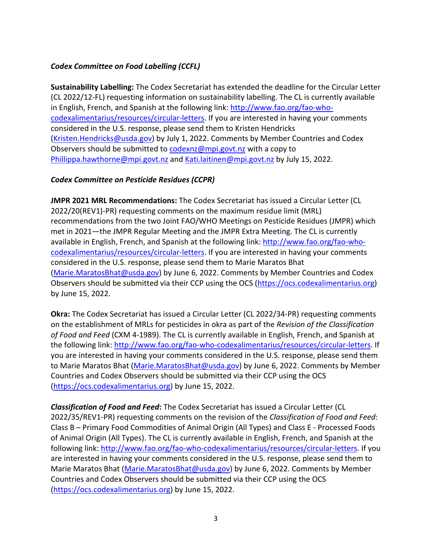## *Codex Committee on Food Labelling (CCFL)*

**Sustainability Labelling:** The Codex Secretariat has extended the deadline for the Circular Letter (CL 2022/12-FL) requesting information on sustainability labelling. The CL is currently available in English, French, and Spanish at the following link: [http://www.fao.org/fao-who](http://www.fao.org/fao-who-codexalimentarius/resources/circular-letters)[codexalimentarius/resources/circular-letters.](http://www.fao.org/fao-who-codexalimentarius/resources/circular-letters) If you are interested in having your comments considered in the U.S. response, please send them to Kristen Hendricks [\(Kristen.Hendricks@usda.gov\)](mailto:Kristen.Hendricks@usda.gov) by July 1, 2022. Comments by Member Countries and Codex Observers should be submitted to [codexnz@mpi.govt.nz](mailto:codexnz@mpi.govt.nz) with a copy to [Phillippa.hawthorne@mpi.govt.nz](mailto:Phillippa.hawthorne@mpi.govt.nz) and [Kati.laitinen@mpi.govt.nz](mailto:Kati.laitinen@mpi.govt.nz) by July 15, 2022.

## *Codex Committee on Pesticide Residues (CCPR)*

**JMPR 2021 MRL Recommendations:** The Codex Secretariat has issued a Circular Letter (CL 2022/20(REV1)-PR) requesting comments on the maximum residue limit (MRL) recommendations from the two Joint FAO/WHO Meetings on Pesticide Residues (JMPR) which met in 2021—the JMPR Regular Meeting and the JMPR Extra Meeting. The CL is currently available in English, French, and Spanish at the following link: [http://www.fao.org/fao-who](http://www.fao.org/fao-who-codexalimentarius/resources/circular-letters)[codexalimentarius/resources/circular-letters.](http://www.fao.org/fao-who-codexalimentarius/resources/circular-letters) If you are interested in having your comments considered in the U.S. response, please send them to Marie Maratos Bhat [\(Marie.MaratosBhat@usda.gov\)](mailto:Marie.MaratosBhat@usda.gov) by June 6, 2022. Comments by Member Countries and Codex Observers should be submitted via their CCP using the OCS [\(https://ocs.codexalimentarius.org\)](https://ocs.codexalimentarius.org/) by June 15, 2022.

**Okra:** The Codex Secretariat has issued a Circular Letter (CL 2022/34-PR) requesting comments on the establishment of MRLs for pesticides in okra as part of the *Revision of the Classification of Food and Feed* (CXM 4-1989). The CL is currently available in English, French, and Spanish at the following link: [http://www.fao.org/fao-who-codexalimentarius/resources/circular-letters.](http://www.fao.org/fao-who-codexalimentarius/resources/circular-letters) If you are interested in having your comments considered in the U.S. response, please send them to Marie Maratos Bhat [\(Marie.MaratosBhat@usda.gov\)](mailto:Marie.MaratosBhat@usda.gov) by June 6, 2022. Comments by Member Countries and Codex Observers should be submitted via their CCP using the OCS [\(https://ocs.codexalimentarius.org\)](https://ocs.codexalimentarius.org/) by June 15, 2022.

*Classification of Food and Feed***:** The Codex Secretariat has issued a Circular Letter (CL 2022/35/REV1-PR) requesting comments on the revision of the *Classification of Food and Feed*: Class B – Primary Food Commodities of Animal Origin (All Types) and Class E - Processed Foods of Animal Origin (All Types). The CL is currently available in English, French, and Spanish at the following link: [http://www.fao.org/fao-who-codexalimentarius/resources/circular-letters.](http://www.fao.org/fao-who-codexalimentarius/resources/circular-letters) If you are interested in having your comments considered in the U.S. response, please send them to Marie Maratos Bhat [\(Marie.MaratosBhat@usda.gov\)](mailto:Marie.MaratosBhat@usda.gov) by June 6, 2022. Comments by Member Countries and Codex Observers should be submitted via their CCP using the OCS [\(https://ocs.codexalimentarius.org\)](https://ocs.codexalimentarius.org/) by June 15, 2022.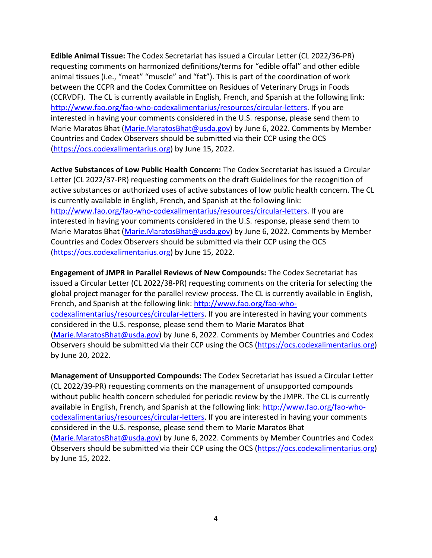**Edible Animal Tissue:** The Codex Secretariat has issued a Circular Letter (CL 2022/36-PR) requesting comments on harmonized definitions/terms for "edible offal" and other edible animal tissues (i.e., "meat" "muscle" and "fat"). This is part of the coordination of work between the CCPR and the Codex Committee on Residues of Veterinary Drugs in Foods (CCRVDF). The CL is currently available in English, French, and Spanish at the following link: [http://www.fao.org/fao-who-codexalimentarius/resources/circular-letters.](http://www.fao.org/fao-who-codexalimentarius/resources/circular-letters) If you are interested in having your comments considered in the U.S. response, please send them to Marie Maratos Bhat [\(Marie.MaratosBhat@usda.gov\)](mailto:Marie.MaratosBhat@usda.gov) by June 6, 2022. Comments by Member Countries and Codex Observers should be submitted via their CCP using the OCS [\(https://ocs.codexalimentarius.org\)](https://ocs.codexalimentarius.org/) by June 15, 2022.

**Active Substances of Low Public Health Concern:** The Codex Secretariat has issued a Circular Letter (CL 2022/37-PR) requesting comments on the draft Guidelines for the recognition of active substances or authorized uses of active substances of low public health concern. The CL is currently available in English, French, and Spanish at the following link: [http://www.fao.org/fao-who-codexalimentarius/resources/circular-letters.](http://www.fao.org/fao-who-codexalimentarius/resources/circular-letters) If you are interested in having your comments considered in the U.S. response, please send them to Marie Maratos Bhat [\(Marie.MaratosBhat@usda.gov\)](mailto:Marie.MaratosBhat@usda.gov) by June 6, 2022. Comments by Member Countries and Codex Observers should be submitted via their CCP using the OCS [\(https://ocs.codexalimentarius.org\)](https://ocs.codexalimentarius.org/) by June 15, 2022.

**Engagement of JMPR in Parallel Reviews of New Compounds:** The Codex Secretariat has issued a Circular Letter (CL 2022/38-PR) requesting comments on the criteria for selecting the global project manager for the parallel review process. The CL is currently available in English, French, and Spanish at the following link: [http://www.fao.org/fao-who](http://www.fao.org/fao-who-codexalimentarius/resources/circular-letters)[codexalimentarius/resources/circular-letters.](http://www.fao.org/fao-who-codexalimentarius/resources/circular-letters) If you are interested in having your comments considered in the U.S. response, please send them to Marie Maratos Bhat [\(Marie.MaratosBhat@usda.gov\)](mailto:Marie.MaratosBhat@usda.gov) by June 6, 2022. Comments by Member Countries and Codex Observers should be submitted via their CCP using the OCS [\(https://ocs.codexalimentarius.org\)](https://ocs.codexalimentarius.org/) by June 20, 2022.

**Management of Unsupported Compounds:** The Codex Secretariat has issued a Circular Letter (CL 2022/39-PR) requesting comments on the management of unsupported compounds without public health concern scheduled for periodic review by the JMPR. The CL is currently available in English, French, and Spanish at the following link: [http://www.fao.org/fao-who](http://www.fao.org/fao-who-codexalimentarius/resources/circular-letters)[codexalimentarius/resources/circular-letters.](http://www.fao.org/fao-who-codexalimentarius/resources/circular-letters) If you are interested in having your comments considered in the U.S. response, please send them to Marie Maratos Bhat [\(Marie.MaratosBhat@usda.gov\)](mailto:Marie.MaratosBhat@usda.gov) by June 6, 2022. Comments by Member Countries and Codex Observers should be submitted via their CCP using the OCS [\(https://ocs.codexalimentarius.org\)](https://ocs.codexalimentarius.org/) by June 15, 2022.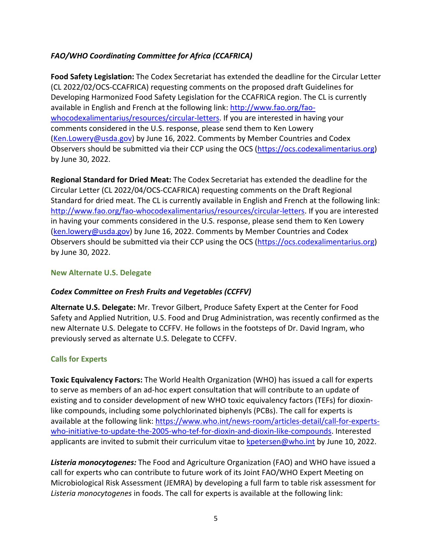## *FAO/WHO Coordinating Committee for Africa (CCAFRICA)*

**Food Safety Legislation:** The Codex Secretariat has extended the deadline for the Circular Letter (CL 2022/02/OCS-CCAFRICA) requesting comments on the proposed draft Guidelines for Developing Harmonized Food Safety Legislation for the CCAFRICA region. The CL is currently available in English and French at the following link: [http://www.fao.org/fao](http://www.fao.org/fao-whocodexalimentarius/resources/circular-letters)[whocodexalimentarius/resources/circular-letters.](http://www.fao.org/fao-whocodexalimentarius/resources/circular-letters) If you are interested in having your comments considered in the U.S. response, please send them to Ken Lowery [\(Ken.Lowery@usda.gov\)](mailto:Ken.Lowery@usda.gov) by June 16, 2022. Comments by Member Countries and Codex Observers should be submitted via their CCP using the OCS [\(https://ocs.codexalimentarius.org\)](https://ocs.codexalimentarius.org/) by June 30, 2022.

**Regional Standard for Dried Meat:** The Codex Secretariat has extended the deadline for the Circular Letter (CL 2022/04/OCS-CCAFRICA) requesting comments on the Draft Regional Standard for dried meat. The CL is currently available in English and French at the following link: [http://www.fao.org/fao-whocodexalimentarius/resources/circular-letters.](http://www.fao.org/fao-whocodexalimentarius/resources/circular-letters) If you are interested in having your comments considered in the U.S. response, please send them to Ken Lowery [\(ken.lowery@usda.gov\)](mailto:ken.lowery@usda.gov) by June 16, 2022. Comments by Member Countries and Codex Observers should be submitted via their CCP using the OCS [\(https://ocs.codexalimentarius.org\)](https://ocs.codexalimentarius.org/) by June 30, 2022.

### **New Alternate U.S. Delegate**

## *Codex Committee on Fresh Fruits and Vegetables (CCFFV)*

**Alternate U.S. Delegate:** Mr. Trevor Gilbert, Produce Safety Expert at the Center for Food Safety and Applied Nutrition, U.S. Food and Drug Administration, was recently confirmed as the new Alternate U.S. Delegate to CCFFV. He follows in the footsteps of Dr. David Ingram, who previously served as alternate U.S. Delegate to CCFFV.

### **Calls for Experts**

**Toxic Equivalency Factors:** The World Health Organization (WHO) has issued a call for experts to serve as members of an ad-hoc expert consultation that will contribute to an update of existing and to consider development of new WHO toxic equivalency factors (TEFs) for dioxinlike compounds, including some polychlorinated biphenyls (PCBs). The call for experts is available at the following link: [https://www.who.int/news-room/articles-detail/call-for-experts](https://www.who.int/news-room/articles-detail/call-for-experts-who-initiative-to-update-the-2005-who-tef-for-dioxin-and-dioxin-like-compounds)[who-initiative-to-update-the-2005-who-tef-for-dioxin-and-dioxin-like-compounds.](https://www.who.int/news-room/articles-detail/call-for-experts-who-initiative-to-update-the-2005-who-tef-for-dioxin-and-dioxin-like-compounds) Interested applicants are invited to submit their curriculum vitae to [kpetersen@who.int](mailto:kpetersen@who.int) by June 10, 2022.

*Listeria monocytogenes:* The Food and Agriculture Organization (FAO) and WHO have issued a call for experts who can contribute to future work of its Joint FAO/WHO Expert Meeting on Microbiological Risk Assessment (JEMRA) by developing a full farm to table risk assessment for *Listeria monocytogenes* in foods. The call for experts is available at the following link: